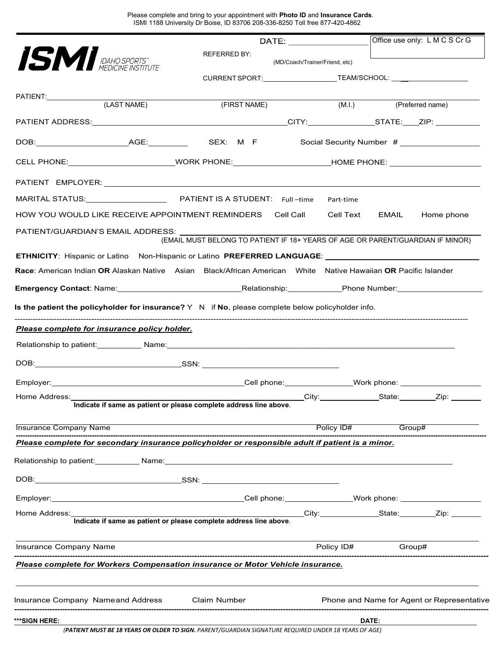Please complete and bring to your appointment with **Photo ID** and **Insurance Cards**. ISMI 1188 University Dr Boise, ID 83706 208-336-8250 Toll free 877-420-4862

|                                                                                                                |                                                                                                       |                                |                         |       | Office use only: L M C S Cr G              |
|----------------------------------------------------------------------------------------------------------------|-------------------------------------------------------------------------------------------------------|--------------------------------|-------------------------|-------|--------------------------------------------|
| ISMI IDAHO SPORTS"                                                                                             | <b>REFERRED BY:</b>                                                                                   | (MD/Coach/Trainer/Friend, etc) |                         |       |                                            |
|                                                                                                                | CURRENT SPORT: ________________________TEAM/SCHOOL: ____________________________                      |                                |                         |       |                                            |
| PATIENT: (LAST NAME)                                                                                           |                                                                                                       |                                |                         |       |                                            |
|                                                                                                                | (FIRST NAME)                                                                                          |                                | (M.I.) (Preferred name) |       |                                            |
|                                                                                                                |                                                                                                       |                                |                         |       |                                            |
|                                                                                                                |                                                                                                       |                                |                         |       |                                            |
| CELL PHONE: ____________________________WORK PHONE: ____________________________HOME PHONE: _________________  |                                                                                                       |                                |                         |       |                                            |
|                                                                                                                |                                                                                                       |                                |                         |       |                                            |
|                                                                                                                |                                                                                                       |                                | Part-time               |       |                                            |
| HOW YOU WOULD LIKE RECEIVE APPOINTMENT REMINDERS                            Cell Call                          |                                                                                                       |                                |                         |       | Cell Text EMAIL Home phone                 |
| PATIENT/GUARDIAN'S EMAIL ADDRESS: UNITS                                                                        | (EMAIL MUST BELONG TO PATIENT IF 18+ YEARS OF AGE OR PARENT/GUARDIAN IF MINOR)                        |                                |                         |       |                                            |
| ETHNICITY: Hispanic or Latino Non-Hispanic or Latino PREFERRED LANGUAGE: \\ \\ \\ \\ \\ \\ \\ \\ \\ \\ \\ \\ \ |                                                                                                       |                                |                         |       |                                            |
| Race: American Indian OR Alaskan Native Asian Black/African American White Native Hawaiian OR Pacific Islander |                                                                                                       |                                |                         |       |                                            |
|                                                                                                                |                                                                                                       |                                |                         |       |                                            |
| Is the patient the policyholder for insurance? $Y \ N$ if No, please complete below policyholder info.         |                                                                                                       |                                |                         |       |                                            |
| Please complete for insurance policy holder.                                                                   |                                                                                                       |                                |                         |       |                                            |
|                                                                                                                |                                                                                                       |                                |                         |       |                                            |
|                                                                                                                |                                                                                                       |                                |                         |       |                                            |
|                                                                                                                |                                                                                                       |                                |                         |       |                                            |
| Home Address:                                                                                                  |                                                                                                       |                                | City: State: Zip:       |       |                                            |
|                                                                                                                | Indicate if same as patient or please complete address line above.                                    |                                |                         |       |                                            |
| <b>Insurance Company Name</b>                                                                                  |                                                                                                       |                                | Policy ID#              |       | Group#                                     |
| Please complete for secondary insurance policyholder or responsible adult if patient is a minor.               |                                                                                                       |                                |                         |       |                                            |
|                                                                                                                |                                                                                                       |                                |                         |       |                                            |
|                                                                                                                |                                                                                                       |                                |                         |       |                                            |
|                                                                                                                |                                                                                                       |                                |                         |       |                                            |
| Home Address:                                                                                                  |                                                                                                       |                                |                         |       | City: State: Zip:                          |
|                                                                                                                | Indicate if same as patient or please complete address line above.                                    |                                |                         |       |                                            |
| Insurance Company Name                                                                                         |                                                                                                       |                                | Policy ID#              |       | Group#                                     |
| Please complete for Workers Compensation insurance or Motor Vehicle insurance.                                 |                                                                                                       |                                |                         |       |                                            |
| Insurance Company Nameand Address Claim Number                                                                 |                                                                                                       |                                |                         |       | Phone and Name for Agent or Representative |
|                                                                                                                |                                                                                                       |                                |                         |       |                                            |
| ***SIGN HERE:                                                                                                  | (PATIENT MUST BE 18 YEARS OR OLDER TO SIGN. PARENT/GUARDIAN SIGNATURE REQUIRED UNDER 18 YEARS OF AGE) |                                |                         | DATE: |                                            |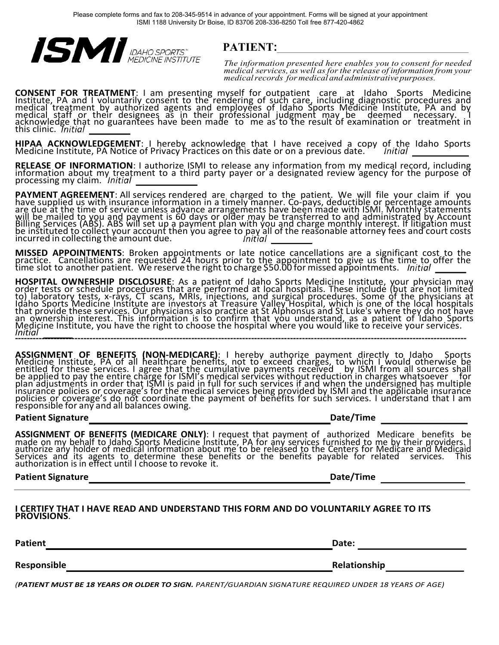

*The information presented here enables you to consent for needed medical services, as well asforthe release of information from your medicalrecords for medical and administrative purposes.*

**CONSENT FOR TREATMENT**: I am presenting myself for outpatient care at Idaho Sports Medicine<br>Institute, PA and I voluntarily consent to the rendering of such care, including diagnostic procedures and medical treatment by authorized agents and employees of Idaho Sports Medicine Institute, PA and by medical staff or their designees as in their professional judgment may be deemed necessary. I<br>acknowledge that no guarantees have been made to me as to the result of examination or treatment in this clinic.

**HIPAA ACKNOWLEDGEMENT**: I hereby acknowledge that I have received a copy of the Idaho Sports Medicine Institute, PA Notice of Privacy Practices on this date or on a previous date. *Initial* 1999 1999

RELEASE OF INFORMATION: I authorize ISMI to release any information from my medical record, including<br>information about my treatment to a third party payer or a designated review agency for the purpose of<br>processing my cla

PAYMENT AGREEMENT: All services rendered are charged to the patient. We will file your claim if you<br>have supplied us with insurance information in a timely manner. Co-pays, deductible or percentage amounts<br>are due at the t will be mailed to you and payment is 60 days or older may be transferred to and administrated by Account Billing Services (ABS). ABS will set up a payment plan with you and charge monthly interest. If litigation must be instituted to collect your account then you agree to pay all of the reasonable attorney fees and court costs incurred in collecting the amount due.

**MISSED APPOINTMENTS**: Broken appointments or late notice cancellations are a significant cost to the practice. Cancellations are requested 24 hours prior to the appointment to give us the time to offer the time slot to another patient. We reserve the right to charge \$50.00 for missed appointments.

**HOSPITAL OWNERSHIP DISCLOSURE**: As a patient of Idaho Sports Medicine Institute, your physician may<br>order tests or schedule procedures that are performed at local hospitals. These include (but are not limited to) laboratory tests, x-rays, CT scans, MRIs, injections, and surgical procedures. Some of the physicians at<br>Idaho Sports Medicine Institute are investors at Treasure Valley Hospital, which is one of the local hospitals<br>th an ownership interest. This information is to confirm that you understand, as a patient of Idaho Sports Medicine Institute, you have the right to choose the hospital where you would like to receive your services. *I* **-** *n* **--** *i* **-** *t* **-** *i* **-** *a* **--** *l* **-----------------------------------------------------------------------------------------------------------------------------------------------**

**ASSIGNMENT OF BENEFITS (NON-MEDICARE)**: I hereby authorize payment directly to Idaho Sports<br>Medicine Institute, PA of all healthcare benefits, not to exceed charges, to which I would otherwise be<br>entitled for these servic be applied to pay the entire charge for ISMI's medical services without reduction in charges whatsoever for plan adjustments in order that ISMI is paid in full for such services if and when the undersigned has multiple insurance policies or coverage's for the medical services being provided by ISMI and the applicable insurance policies or coverage's do not coordinate the payment of benefits for such services. I understand that I am responsible for any and all balances owing.

# **Patient Signature Date/Time**

**ASSIGNMENT OF BENEFITS (MEDICARE ONLY)**: I request that payment of cauthorized Medicare benefits be made on my behalf to Idaho Sports Medicine Institute, PA for any services furnished to me by their providers. I authorize any holder of medical information about me to be released to the Centers for Medicare and Medicaid Services and its agents to determine these benefits or the benefits payable for related services. This authorization is in effect until I choose to revoke it.

**Patient Signature** *Date/Time Date/Time Date/Time* 

## **I CERTIFY THAT I HAVE READ AND UNDERSTAND THIS FORM AND DO VOLUNTARILY AGREE TO ITS PROVISIONS**.

**Patient Date:**

**Responsible Relationship**

*(PATIENT MUST BE 18 YEARS OR OLDER TO SIGN. PARENT/GUARDIAN SIGNATURE REQUIRED UNDER 18 YEARS OF AGE)*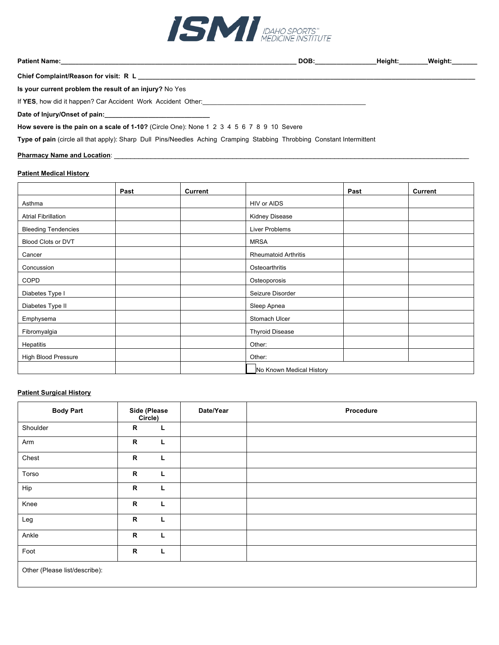

**Patient Name:\_\_\_\_\_\_\_\_\_\_\_\_\_\_\_\_\_\_\_\_\_\_\_\_\_\_\_\_\_\_\_\_\_\_\_\_\_\_\_\_\_\_\_\_\_\_\_\_\_\_\_\_\_\_\_\_\_\_\_\_\_\_\_\_\_ DOB:\_\_\_\_\_\_\_\_\_\_\_\_\_\_\_\_\_Height:\_\_\_\_\_\_\_\_Weight:\_\_\_\_\_\_\_** 

Chief Complaint/Reason for visit: R L \_\_\_\_\_

# **Is your current problem the result of an injury?** No Yes

If YES, how did it happen? Car Accident Work Accident Other:

Date of Injury/Onset of pain:

**How severe is the pain on a scale of 1-10?** (Circle One): None 1 2 3 4 5 6 7 8 9 10 Severe

**Type of pain** (circle all that apply): Sharp Dull Pins/Needles Aching Cramping Stabbing Throbbing Constant Intermittent

# **Pharmacy Name and Location:**

# **Patient Medical History**

|                            | Past | <b>Current</b> |                             | Past | <b>Current</b> |
|----------------------------|------|----------------|-----------------------------|------|----------------|
| Asthma                     |      |                | HIV or AIDS                 |      |                |
| <b>Atrial Fibrillation</b> |      |                | Kidney Disease              |      |                |
| <b>Bleeding Tendencies</b> |      |                | Liver Problems              |      |                |
| <b>Blood Clots or DVT</b>  |      |                | <b>MRSA</b>                 |      |                |
| Cancer                     |      |                | <b>Rheumatoid Arthritis</b> |      |                |
| Concussion                 |      |                | Osteoarthritis              |      |                |
| COPD                       |      |                | Osteoporosis                |      |                |
| Diabetes Type I            |      |                | Seizure Disorder            |      |                |
| Diabetes Type II           |      |                | Sleep Apnea                 |      |                |
| Emphysema                  |      |                | Stomach Ulcer               |      |                |
| Fibromyalgia               |      |                | <b>Thyroid Disease</b>      |      |                |
| Hepatitis                  |      |                | Other:                      |      |                |
| <b>High Blood Pressure</b> |      |                | Other:                      |      |                |
|                            |      |                | No Known Medical History    |      |                |

# **Patient Surgical History**

| <b>Body Part</b>              | <b>Side (Please</b><br>Circle) |   | Date/Year | Procedure |
|-------------------------------|--------------------------------|---|-----------|-----------|
| Shoulder                      | R                              | L |           |           |
| Arm                           | R                              | L |           |           |
| Chest                         | $\mathsf{R}$                   | L |           |           |
| Torso                         | R                              | L |           |           |
| Hip                           | $\mathsf R$                    | L |           |           |
| Knee                          | R                              | L |           |           |
| Leg                           | R                              | L |           |           |
| Ankle                         | $\mathsf{R}$                   | L |           |           |
| Foot                          | $\mathsf{R}$                   | L |           |           |
| Other (Please list/describe): |                                |   |           |           |